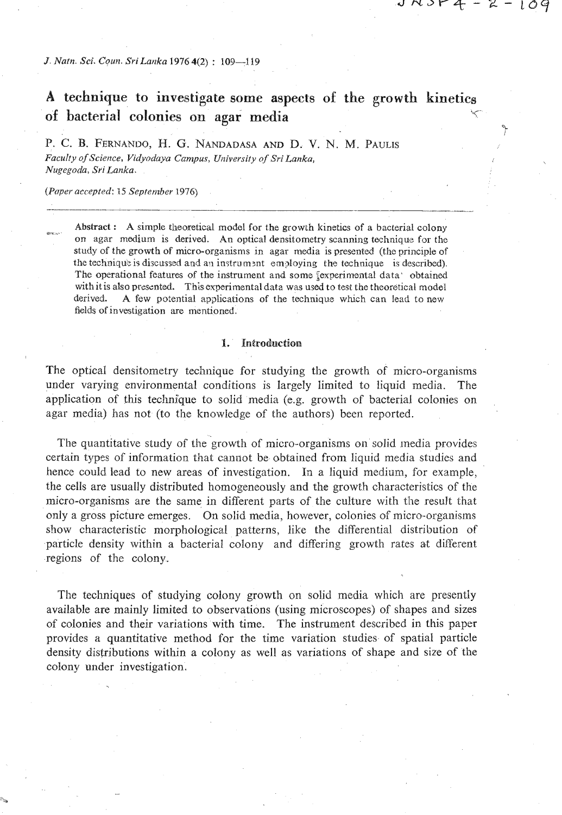$JNYP4 - 2 - 109$ 

*J. Natn. Sci.* **C~u?i. Sri** *Lanka 1976* **4(2)** : **109-1 19** 

## **A technique to investigate some aspects of the growth kinetics**  $\lambda$ **of bacterial colonies on agar media <sup>x</sup>**

P. *C.* **B.** FERNANDO, H. G. NANDADASA AND D. V. N. M. PAULIS Faculty of Science, Vidyodaya Campus, University of Sri Lanka, *Nugegoda,* **Sri** *Lanka.* 

*(Paper accepted: 15 September 1976)* 

Abstract : A simple theoretical model for the growth kinetics of a bacterial colony on agar medium is derived. An optical densitometry scanning technique for thc study of the growth of micro-organisms in agar media is presented (the principle of the technique is discussed and an instrument employing the technique is described). The operational features of the instrument and some sexperimental data<sup>,</sup> obtained with it is also presented. This experimental data was used to test the theoretical model derived. **A** few potential applications of the technique which can lead to new fields of investigation are mentioned.

# 1. Introduction

The optical densitometry technique for studying the growth of micro-organisms under varying environmental conditions is largely limited to liquid media. The application of this technique to solid media (e.g. growth of bacterial colonies on agar media) has not (to the knowledge of the authors) been reported.

The quantitative study of the growth of micro-organisms on solid media provides certain types of information that cannot be obtained from liquid media studies and hence could lead to new areas of investigation. In a liquid medium, for example, the cells are usually distributed homogeneously and the growth characteristics of the micro-organisms are the same in different parts of the culture with the result that only a gross picture emerges. On solid media, however, colonies of micro-organisms show characteristic morphological patterns, like the differential distribution of particle density within a bacterial colony and differing growth rates at different regions of the colony.

The techniques of studying colony growth on solid media which are presently available are mainly limited to observations (using microscopes) of shapes and sizes of colonies and their variations with time. The instrument described in this paper provides a quantitative method far the time variation studies of spatial particle density distributions within a colony as well as variations of shape and size of the colony under investigation.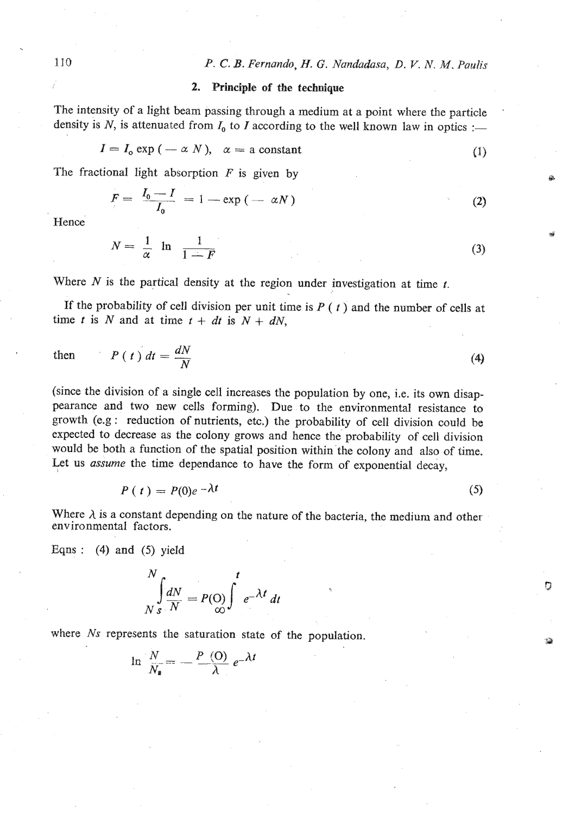110 **P. C.** *B. Fernando, H. G. Nadadasa,* **D. Ir.** *N. M. Paulis* 

## 2. **Principle of** the **techrafqwe**

The intensity of a light beam passing through a medium at a point where the particle density is N, is attenuated from  $I_0$  to I according to the well known law in optics :-<br>  $I = I_0 \exp(-\alpha N)$ ,  $\alpha =$  a constant (1)

The fractional light absorption  $F$  is given by

$$
F = \frac{I_0 - I}{I_0} = 1 - \exp(-\alpha N)
$$
 (2)

**Hence** 

$$
N = \frac{1}{\alpha} \ln \frac{1}{1 - F} \tag{3}
$$

Where  $N$  is the partical density at the region under investigation at time  $t$ .

If the probability of cell division per unit time is *P* ( *t* ) **and** the number of cells at time *t* is N and at time  $t + dt$  is  $N + dN$ ,

then 
$$
P(t) dt = \frac{dN}{N}
$$
 (4)

(since the division of a single cell increases the population by one, i.e. its own disappearance and two new cells forming). Due to the environmental resistance to growth (e.g : reduction of nutrients, etc.) the probability of cell division could be expected to decrease as the colony grows and hence the probability of cell division would be both a function of the spatial position within the colony and also of time. Let us *assume* the time dependance to have the form of exponential decay,

$$
P(t) = P(0)e^{-\lambda t}
$$
 (5)

Where  $\lambda$  is a constant depending on the nature of the bacteria, the medium and other environmental factors.

Eqns:  $(4)$  and  $(5)$  yield

$$
\int_{N}^{N} \int_{S} \frac{dN}{N} = P(O) \int_{Q}^{t} e^{-\lambda t} dt
$$

where **Ns** represents the saturation state of the population.

$$
\ln \frac{N}{N_a} = -\frac{P(0)}{\lambda} e^{-\lambda t}
$$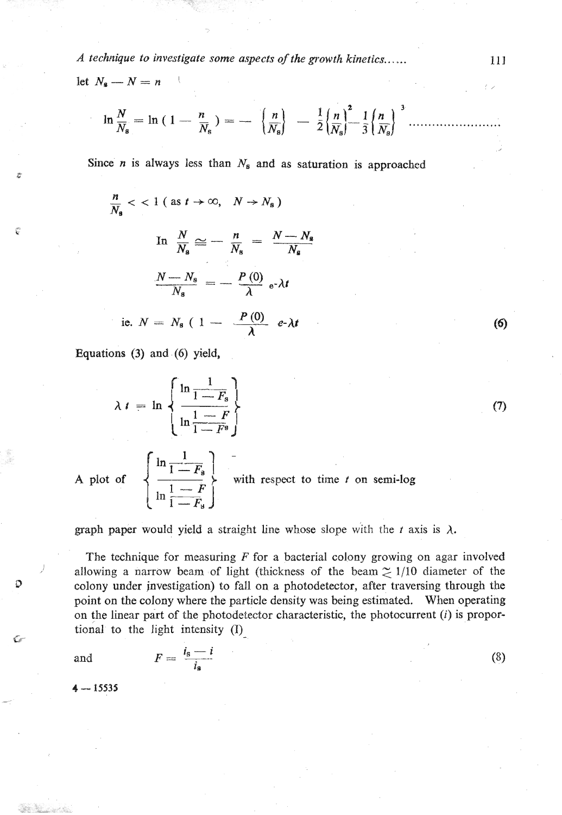*A technique to investigate some aspects of the growth kinetics......* 111<br>  $et N_8 - N = n$ 

$$
\ln \frac{N}{N_s} = \ln (1 - \frac{n}{N_s}) = -\left(\frac{n}{N_s}\right) - \frac{1}{2} \left(\frac{n}{N_s}\right)^2 - \frac{1}{3} \left(\frac{n}{N_s}\right)^3 \dots
$$

Since  $n$  is always less than  $N_s$  and as saturation is approached

$$
\frac{n}{N_s} < < 1 \text{ (as } t \to \infty, \quad N \to N_s \text{)}
$$
\n
$$
\text{In } \frac{N}{N_s} \cong -\frac{n}{N_s} = \frac{N - N_s}{N_s}
$$
\n
$$
\frac{N - N_s}{N_s} = -\frac{P(0)}{\lambda} e^{-\lambda t}
$$
\ni.e.  $N = N_s \text{ (1 - } \frac{P(0)}{\lambda} e^{-\lambda t})$ 

Equations (3) and (6) yield,

$$
\lambda t = \ln \left\{ \frac{\ln \frac{1}{1 - F_s}}{\ln \frac{1}{1 - F_s}} \right\}
$$
\nA plot of 
$$
\left\{ \frac{\ln \frac{1}{1 - F_s}}{\ln \frac{1}{1 - F_s}} \right\}
$$
 with respect to time *t* on semi-log

graph paper would yield a straight line whose slope with the  $t$  axis is  $\lambda$ .

The technique for measuring *F* for a bacterial colony growing on agar involved allowing a narrow beam of light (thickness of the beam  $\approx 1/10$  diameter of the **0** colony under investigation) to fall on a photodetector, after traversing through the point on the colony where the particle density was being estimated. When operating on the linear part of the photodetector characteristic, the photocurrent  $(i)$  is proportional to the light intensity (I)<br>and  $F = \frac{i_S - i}{2}$ 

**6F** 

Ż,

€

 $F = \frac{i_{\rm s} - i}{i_{\rm s}}$ 

 $4 - 15535$ 

(6)

 $(7)$ 

 $(8)$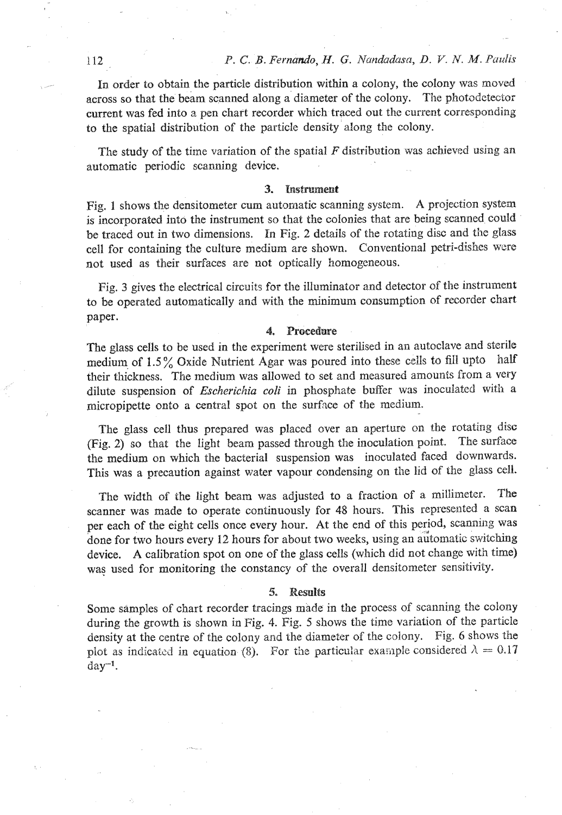In order to obtain the particle distribution within a colony, the colony was moved across so that the beam scanned along a diameter of the colony. The photodetector current was fed into a pen chart recorder which traced out the current corresponding to the spatial distribution of the particle density along the colony.

The study of the time variation of the spatial  $F$  distribution was achieved using an automatic periodic scanning device.

#### 3. Instrument

Fig. 1 shows the densitorneter cum automatic scanning system. **A** projection system is incorporated into the instrument so that the colonies that are being scanned could be traced out in two dimensions. **In** Fig. **2** details of the rotating disc and the glass cell for containing the culture medium are shown. Conventional petri-dishes were not used as their surfaces are not optically homogeneous.

Fig. **3** gives the electrical circuits for the illuminator and detector of thc instrument to be operated automatically and with the minimum consumption of recorder chart paper.

#### 4. **Procedure**

The glass cells to be used in the experiment were sterilised in an autoclave and sterile medium of 1.5% Oxide Nutrient Agar was poured into these cells to fill upto half their thickness. The medium was allowed to set and measured amounts from a very dilute suspension of *Escherichia coli* in phosphate buffer was inoculated with a micropipette onto a central spot on the surface of the medium.

The glass cell thus prepared was placed over an aperture on the rotating disc (Fig. 2) so that the light beam passed through the inoculation point. The surface the medium on which the bacterial suspension was inoculated faced downwards. This was a precaution against water vapour condensing on the lid of the glass cell.

The width of the light beam **was** adjusted to a fraction of a rnillimetcr. **The**  scanner was made to operate continuously for 48 hours. This represented a scan per each of the eight cells once every hour. At the end of this period, scanning was done for two hours every 12 hours for about two weeks, using an automatic switching device. A calibration spot on one of the glass cells (which did not change with time) was used for monitoring the constancy of the overall densitometer sensitivity.

### **5. Results**

Some samples of chart recorder tracings made in the process of scanning the colony during the growth is shown in Fig. 4. Fig. 5 shows the time variation of the particle density at the centre of the colony and the diameter of the colony. Fig. *6* shows the plot as indicated in equation (8). For the particular example considered  $\lambda = 0.17$  $day^{-1}$ .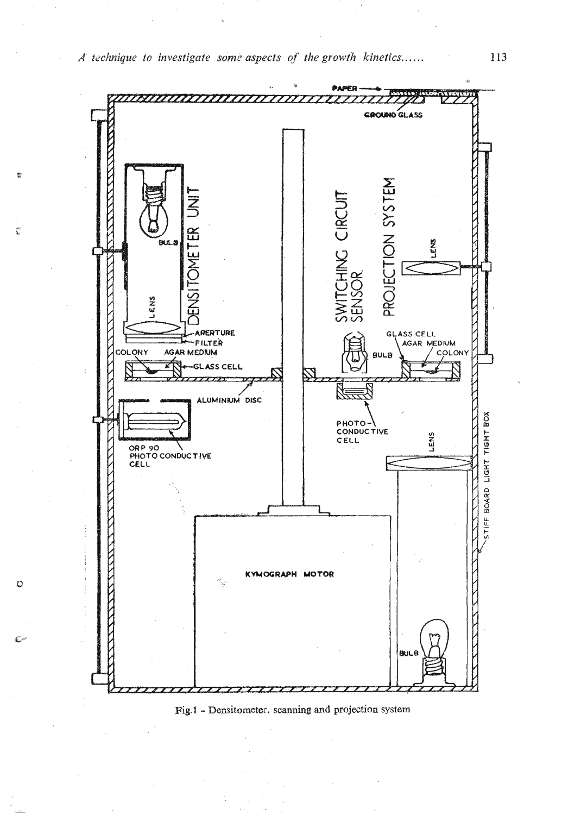A technique to investigate some aspects of the growth kinetics......

Ŷ.

ű

 $\mathbb Q$ 

 $\mathbb{C}^2$ 



**Fig.1** - **Densitometer, scanning and projection system** 

113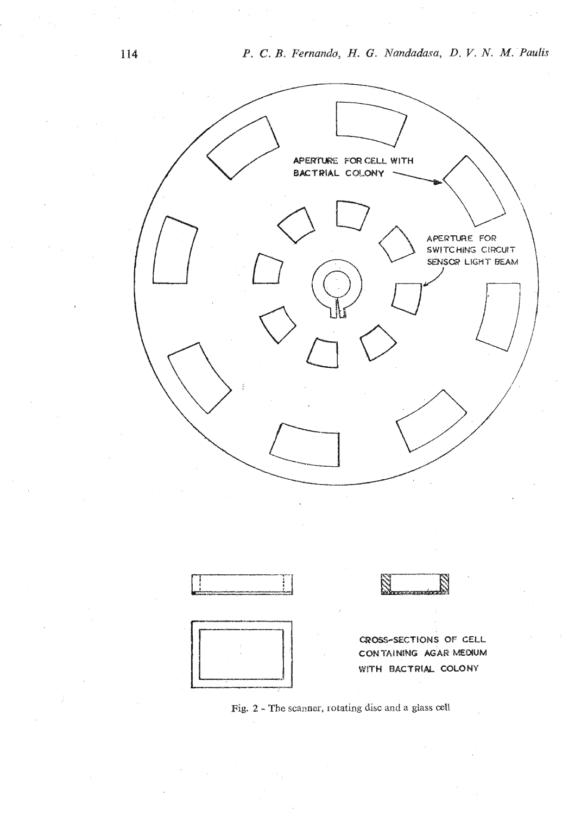

**Fig. 2** - **The** scanner, **lotaking disc** and **a** glass **cell**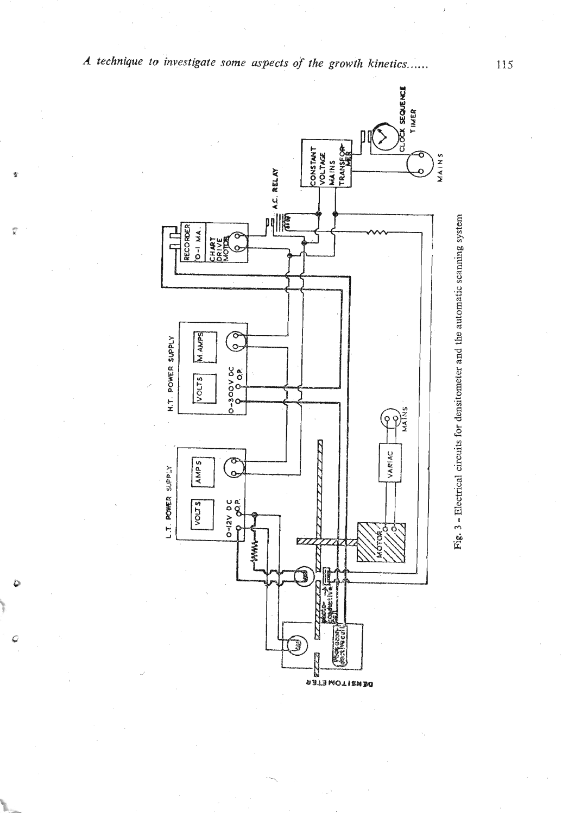

C

115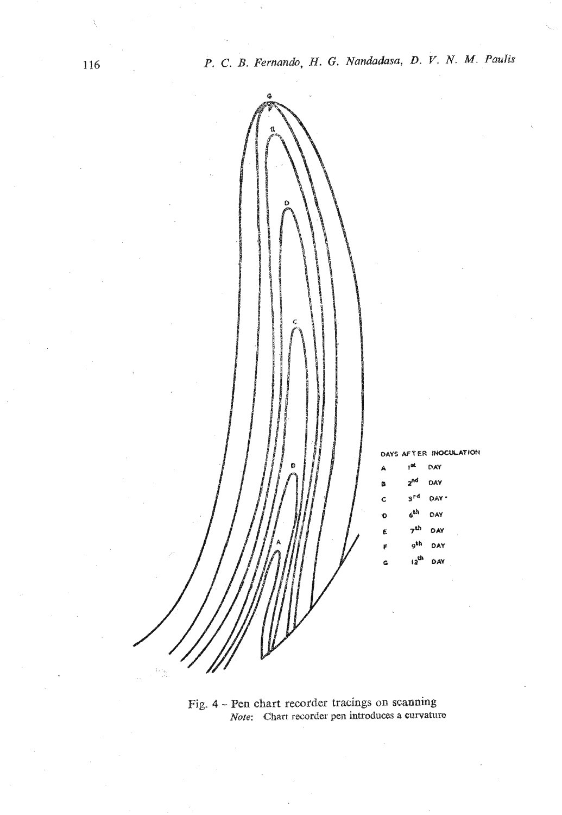

Fig. 4 - Pen chart recorder tracings on scanning Note: Chart recorder pen introduces a curvature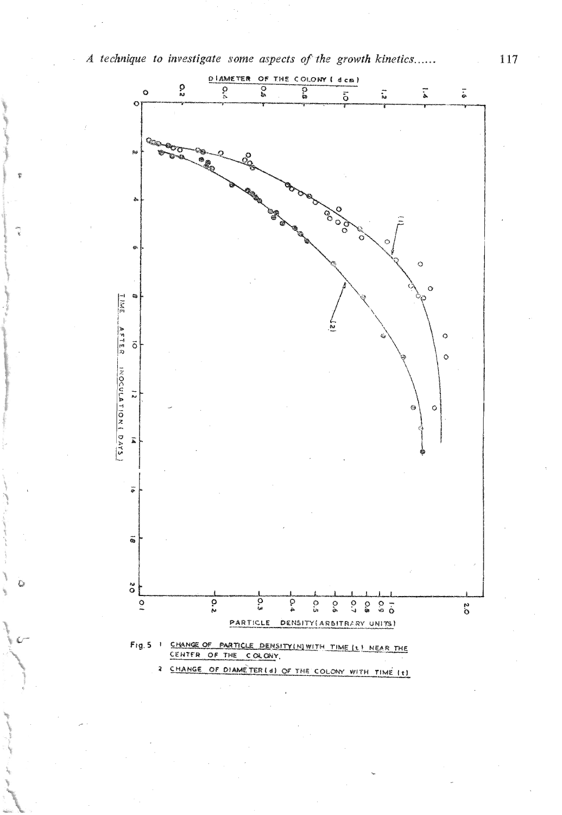

117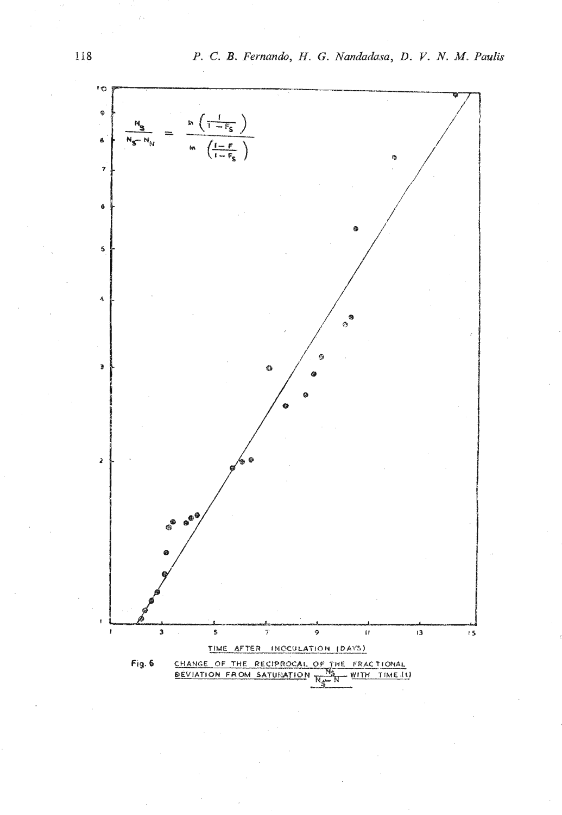